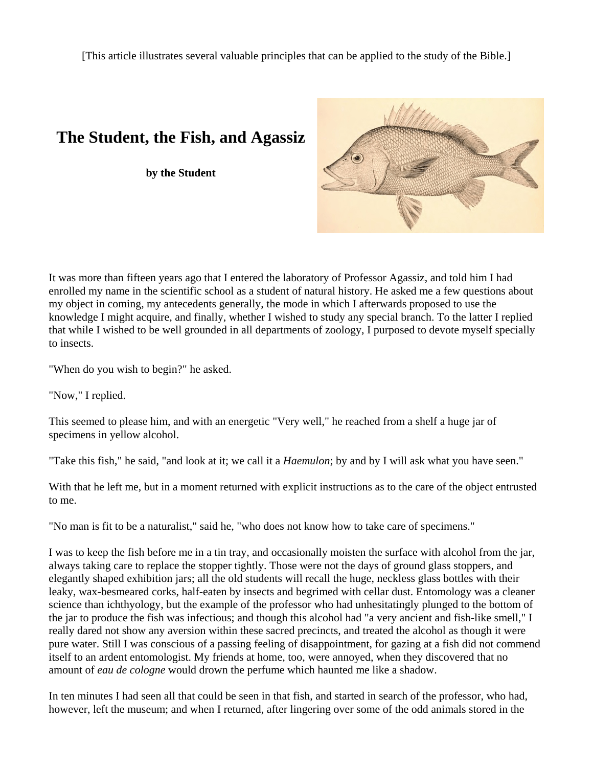[This article illustrates several valuable principles that can be applied to the study of the Bible.]

## **The Student, the Fish, and Agassiz**

**by the Student** 



It was more than fifteen years ago that I entered the laboratory of Professor Agassiz, and told him I had enrolled my name in the scientific school as a student of natural history. He asked me a few questions about my object in coming, my antecedents generally, the mode in which I afterwards proposed to use the knowledge I might acquire, and finally, whether I wished to study any special branch. To the latter I replied that while I wished to be well grounded in all departments of zoology, I purposed to devote myself specially to insects.

"When do you wish to begin?" he asked.

"Now," I replied.

This seemed to please him, and with an energetic "Very well," he reached from a shelf a huge jar of specimens in yellow alcohol.

"Take this fish," he said, "and look at it; we call it a *Haemulon*; by and by I will ask what you have seen."

With that he left me, but in a moment returned with explicit instructions as to the care of the object entrusted to me.

"No man is fit to be a naturalist," said he, "who does not know how to take care of specimens."

I was to keep the fish before me in a tin tray, and occasionally moisten the surface with alcohol from the jar, always taking care to replace the stopper tightly. Those were not the days of ground glass stoppers, and elegantly shaped exhibition jars; all the old students will recall the huge, neckless glass bottles with their leaky, wax-besmeared corks, half-eaten by insects and begrimed with cellar dust. Entomology was a cleaner science than ichthyology, but the example of the professor who had unhesitatingly plunged to the bottom of the jar to produce the fish was infectious; and though this alcohol had "a very ancient and fish-like smell," I really dared not show any aversion within these sacred precincts, and treated the alcohol as though it were pure water. Still I was conscious of a passing feeling of disappointment, for gazing at a fish did not commend itself to an ardent entomologist. My friends at home, too, were annoyed, when they discovered that no amount of *eau de cologne* would drown the perfume which haunted me like a shadow.

In ten minutes I had seen all that could be seen in that fish, and started in search of the professor, who had, however, left the museum; and when I returned, after lingering over some of the odd animals stored in the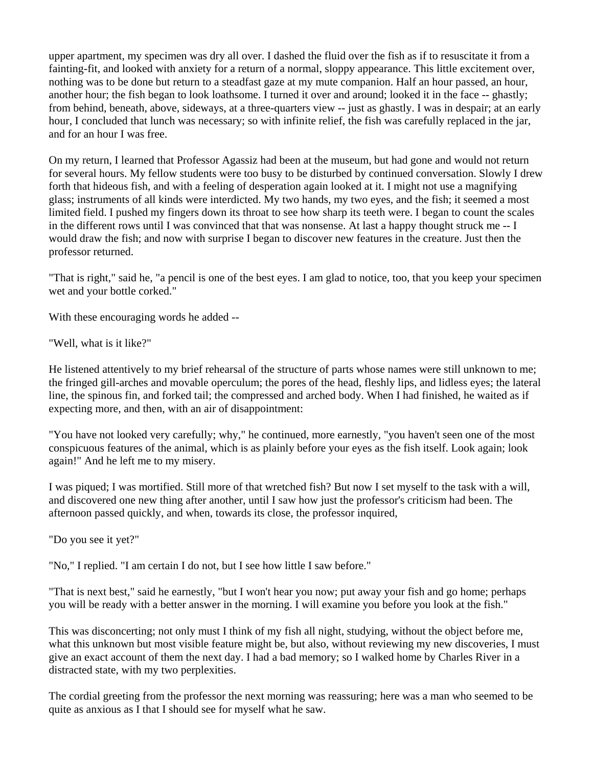upper apartment, my specimen was dry all over. I dashed the fluid over the fish as if to resuscitate it from a fainting-fit, and looked with anxiety for a return of a normal, sloppy appearance. This little excitement over, nothing was to be done but return to a steadfast gaze at my mute companion. Half an hour passed, an hour, another hour; the fish began to look loathsome. I turned it over and around; looked it in the face -- ghastly; from behind, beneath, above, sideways, at a three-quarters view -- just as ghastly. I was in despair; at an early hour, I concluded that lunch was necessary; so with infinite relief, the fish was carefully replaced in the jar, and for an hour I was free.

On my return, I learned that Professor Agassiz had been at the museum, but had gone and would not return for several hours. My fellow students were too busy to be disturbed by continued conversation. Slowly I drew forth that hideous fish, and with a feeling of desperation again looked at it. I might not use a magnifying glass; instruments of all kinds were interdicted. My two hands, my two eyes, and the fish; it seemed a most limited field. I pushed my fingers down its throat to see how sharp its teeth were. I began to count the scales in the different rows until I was convinced that that was nonsense. At last a happy thought struck me -- I would draw the fish; and now with surprise I began to discover new features in the creature. Just then the professor returned.

"That is right," said he, "a pencil is one of the best eyes. I am glad to notice, too, that you keep your specimen wet and your bottle corked."

With these encouraging words he added --

"Well, what is it like?"

He listened attentively to my brief rehearsal of the structure of parts whose names were still unknown to me; the fringed gill-arches and movable operculum; the pores of the head, fleshly lips, and lidless eyes; the lateral line, the spinous fin, and forked tail; the compressed and arched body. When I had finished, he waited as if expecting more, and then, with an air of disappointment:

"You have not looked very carefully; why," he continued, more earnestly, "you haven't seen one of the most conspicuous features of the animal, which is as plainly before your eyes as the fish itself. Look again; look again!" And he left me to my misery.

I was piqued; I was mortified. Still more of that wretched fish? But now I set myself to the task with a will, and discovered one new thing after another, until I saw how just the professor's criticism had been. The afternoon passed quickly, and when, towards its close, the professor inquired,

"Do you see it yet?"

"No," I replied. "I am certain I do not, but I see how little I saw before."

"That is next best," said he earnestly, "but I won't hear you now; put away your fish and go home; perhaps you will be ready with a better answer in the morning. I will examine you before you look at the fish."

This was disconcerting; not only must I think of my fish all night, studying, without the object before me, what this unknown but most visible feature might be, but also, without reviewing my new discoveries, I must give an exact account of them the next day. I had a bad memory; so I walked home by Charles River in a distracted state, with my two perplexities.

The cordial greeting from the professor the next morning was reassuring; here was a man who seemed to be quite as anxious as I that I should see for myself what he saw.